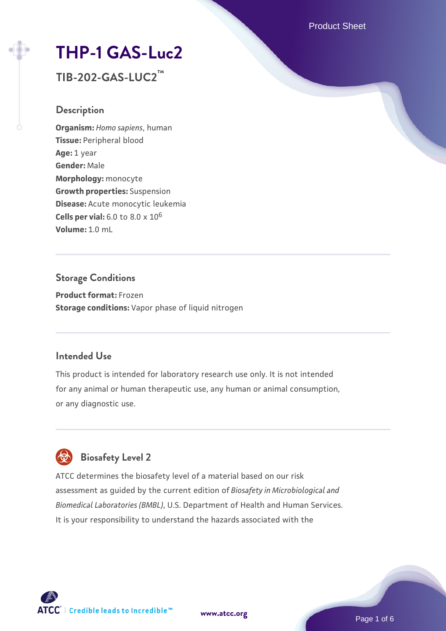Product Sheet

# **[THP-1 GAS-Luc2](https://www.atcc.org/products/tib-202-gas-luc2)**

**TIB-202-GAS-LUC2™**

## **Description**

**Organism:** *Homo sapiens*, human **Tissue:** Peripheral blood **Age:** 1 year **Gender:** Male **Morphology:** monocyte **Growth properties:** Suspension **Disease:** Acute monocytic leukemia **Cells per vial:** 6.0 to 8.0 x 10<sup>6</sup> **Volume:** 1.0 mL

## **Storage Conditions**

**Product format:** Frozen **Storage conditions:** Vapor phase of liquid nitrogen

## **Intended Use**

This product is intended for laboratory research use only. It is not intended for any animal or human therapeutic use, any human or animal consumption, or any diagnostic use.

## **Biosafety Level 2**

ATCC determines the biosafety level of a material based on our risk assessment as guided by the current edition of *Biosafety in Microbiological and Biomedical Laboratories (BMBL)*, U.S. Department of Health and Human Services. It is your responsibility to understand the hazards associated with the

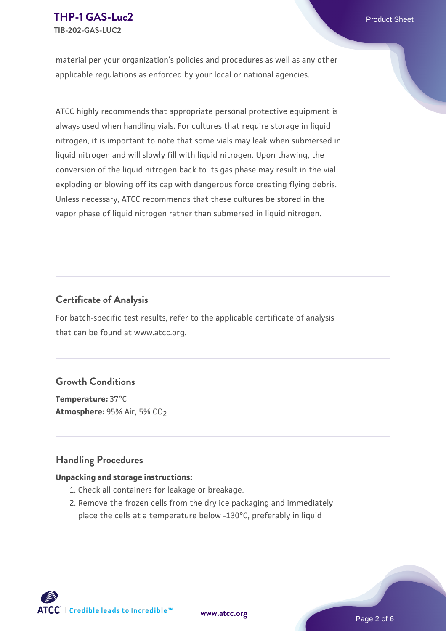material per your organization's policies and procedures as well as any other applicable regulations as enforced by your local or national agencies.

ATCC highly recommends that appropriate personal protective equipment is always used when handling vials. For cultures that require storage in liquid nitrogen, it is important to note that some vials may leak when submersed in liquid nitrogen and will slowly fill with liquid nitrogen. Upon thawing, the conversion of the liquid nitrogen back to its gas phase may result in the vial exploding or blowing off its cap with dangerous force creating flying debris. Unless necessary, ATCC recommends that these cultures be stored in the vapor phase of liquid nitrogen rather than submersed in liquid nitrogen.

## **Certificate of Analysis**

For batch-specific test results, refer to the applicable certificate of analysis that can be found at www.atcc.org.

## **Growth Conditions**

**Temperature:** 37°C **Atmosphere: 95% Air, 5% CO<sub>2</sub>** 

## **Handling Procedures**

#### **Unpacking and storage instructions:**

- 1. Check all containers for leakage or breakage.
- 2. Remove the frozen cells from the dry ice packaging and immediately place the cells at a temperature below -130°C, preferably in liquid

 $\mathsf{ATCC}^{\dagger} \mid$  Credible leads to Incredible  $\mathbb{\mathbb{M}}$ 



Page 2 of 6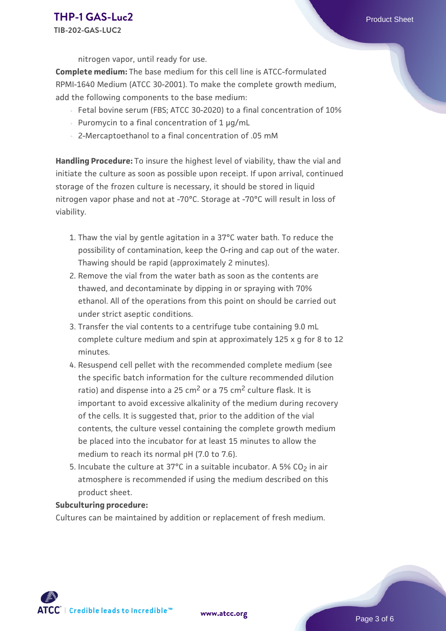nitrogen vapor, until ready for use.

**Complete medium:** The base medium for this cell line is ATCC-formulated RPMI-1640 Medium (ATCC 30-2001). To make the complete growth medium, add the following components to the base medium:

- Fetal bovine serum (FBS; ATCC 30-2020) to a final concentration of 10%
- Puromycin to a final concentration of 1  $\mu$ g/mL
- 2-Mercaptoethanol to a final concentration of .05 mM

**Handling Procedure:** To insure the highest level of viability, thaw the vial and initiate the culture as soon as possible upon receipt. If upon arrival, continued storage of the frozen culture is necessary, it should be stored in liquid nitrogen vapor phase and not at -70°C. Storage at -70°C will result in loss of viability.

- 1. Thaw the vial by gentle agitation in a 37°C water bath. To reduce the possibility of contamination, keep the O-ring and cap out of the water. Thawing should be rapid (approximately 2 minutes).
- 2. Remove the vial from the water bath as soon as the contents are thawed, and decontaminate by dipping in or spraying with 70% ethanol. All of the operations from this point on should be carried out under strict aseptic conditions.
- 3. Transfer the vial contents to a centrifuge tube containing 9.0 mL complete culture medium and spin at approximately 125 x g for 8 to 12 minutes.
- 4. Resuspend cell pellet with the recommended complete medium (see the specific batch information for the culture recommended dilution ratio) and dispense into a 25  $\text{cm}^2$  or a 75  $\text{cm}^2$  culture flask. It is important to avoid excessive alkalinity of the medium during recovery of the cells. It is suggested that, prior to the addition of the vial contents, the culture vessel containing the complete growth medium be placed into the incubator for at least 15 minutes to allow the medium to reach its normal pH (7.0 to 7.6).
- 5. Incubate the culture at 37°C in a suitable incubator. A 5% CO<sub>2</sub> in air atmosphere is recommended if using the medium described on this product sheet.

#### **Subculturing procedure:**

Cultures can be maintained by addition or replacement of fresh medium.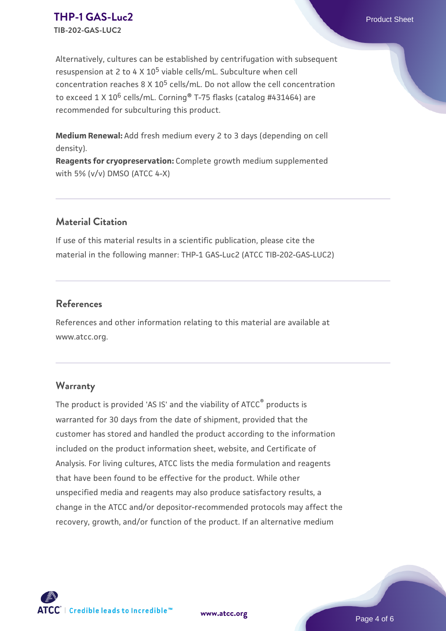## **[THP-1 GAS-Luc2](https://www.atcc.org/products/tib-202-gas-luc2)** Product Sheet **TIB-202-GAS-LUC2**

Alternatively, cultures can be established by centrifugation with subsequent resuspension at 2 to 4 X  $10^5$  viable cells/mL. Subculture when cell concentration reaches 8 X 105 cells/mL. Do not allow the cell concentration to exceed 1 X 10<sup>6</sup> cells/mL. Corning<sup>®</sup> T-75 flasks (catalog #431464) are recommended for subculturing this product.

**Medium Renewal:** Add fresh medium every 2 to 3 days (depending on cell density).

**Reagents for cryopreservation:** Complete growth medium supplemented with 5% (v/v) DMSO (ATCC 4-X)

## **Material Citation**

If use of this material results in a scientific publication, please cite the material in the following manner: THP-1 GAS-Luc2 (ATCC TIB-202-GAS-LUC2)

## **References**

References and other information relating to this material are available at www.atcc.org.

## **Warranty**

The product is provided 'AS IS' and the viability of ATCC<sup>®</sup> products is warranted for 30 days from the date of shipment, provided that the customer has stored and handled the product according to the information included on the product information sheet, website, and Certificate of Analysis. For living cultures, ATCC lists the media formulation and reagents that have been found to be effective for the product. While other unspecified media and reagents may also produce satisfactory results, a change in the ATCC and/or depositor-recommended protocols may affect the recovery, growth, and/or function of the product. If an alternative medium



**[www.atcc.org](http://www.atcc.org)**

Page 4 of 6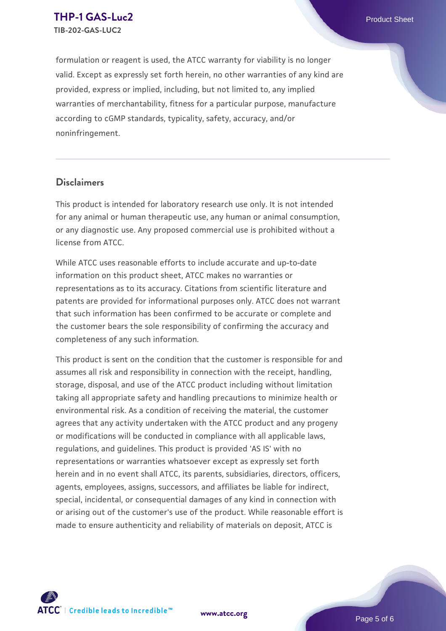formulation or reagent is used, the ATCC warranty for viability is no longer valid. Except as expressly set forth herein, no other warranties of any kind are provided, express or implied, including, but not limited to, any implied warranties of merchantability, fitness for a particular purpose, manufacture according to cGMP standards, typicality, safety, accuracy, and/or noninfringement.

## **Disclaimers**

This product is intended for laboratory research use only. It is not intended for any animal or human therapeutic use, any human or animal consumption, or any diagnostic use. Any proposed commercial use is prohibited without a license from ATCC.

While ATCC uses reasonable efforts to include accurate and up-to-date information on this product sheet, ATCC makes no warranties or representations as to its accuracy. Citations from scientific literature and patents are provided for informational purposes only. ATCC does not warrant that such information has been confirmed to be accurate or complete and the customer bears the sole responsibility of confirming the accuracy and completeness of any such information.

This product is sent on the condition that the customer is responsible for and assumes all risk and responsibility in connection with the receipt, handling, storage, disposal, and use of the ATCC product including without limitation taking all appropriate safety and handling precautions to minimize health or environmental risk. As a condition of receiving the material, the customer agrees that any activity undertaken with the ATCC product and any progeny or modifications will be conducted in compliance with all applicable laws, regulations, and guidelines. This product is provided 'AS IS' with no representations or warranties whatsoever except as expressly set forth herein and in no event shall ATCC, its parents, subsidiaries, directors, officers, agents, employees, assigns, successors, and affiliates be liable for indirect, special, incidental, or consequential damages of any kind in connection with or arising out of the customer's use of the product. While reasonable effort is made to ensure authenticity and reliability of materials on deposit, ATCC is



**[www.atcc.org](http://www.atcc.org)**

Page 5 of 6